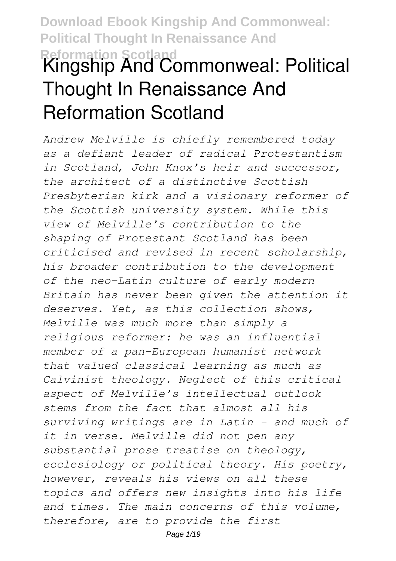# **Download Ebook Kingship And Commonweal: Political Thought In Renaissance And Reformation Scotland Kingship And Commonweal: Political Thought In Renaissance And Reformation Scotland**

*Andrew Melville is chiefly remembered today as a defiant leader of radical Protestantism in Scotland, John Knox's heir and successor, the architect of a distinctive Scottish Presbyterian kirk and a visionary reformer of the Scottish university system. While this view of Melville's contribution to the shaping of Protestant Scotland has been criticised and revised in recent scholarship, his broader contribution to the development of the neo-Latin culture of early modern Britain has never been given the attention it deserves. Yet, as this collection shows, Melville was much more than simply a religious reformer: he was an influential member of a pan-European humanist network that valued classical learning as much as Calvinist theology. Neglect of this critical aspect of Melville's intellectual outlook stems from the fact that almost all his surviving writings are in Latin - and much of it in verse. Melville did not pen any substantial prose treatise on theology, ecclesiology or political theory. His poetry, however, reveals his views on all these topics and offers new insights into his life and times. The main concerns of this volume, therefore, are to provide the first*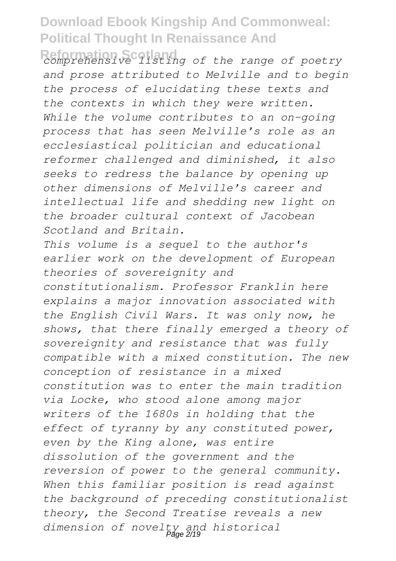**Reformation Scotland** *comprehensive listing of the range of poetry and prose attributed to Melville and to begin the process of elucidating these texts and the contexts in which they were written. While the volume contributes to an on-going process that has seen Melville's role as an ecclesiastical politician and educational reformer challenged and diminished, it also seeks to redress the balance by opening up other dimensions of Melville's career and intellectual life and shedding new light on the broader cultural context of Jacobean Scotland and Britain.*

*This volume is a sequel to the author's earlier work on the development of European theories of sovereignity and constitutionalism. Professor Franklin here explains a major innovation associated with the English Civil Wars. It was only now, he shows, that there finally emerged a theory of sovereignity and resistance that was fully compatible with a mixed constitution. The new conception of resistance in a mixed constitution was to enter the main tradition via Locke, who stood alone among major writers of the 1680s in holding that the effect of tyranny by any constituted power, even by the King alone, was entire dissolution of the government and the reversion of power to the general community. When this familiar position is read against the background of preceding constitutionalist theory, the Second Treatise reveals a new dimension of novelty and historical* Page 2/19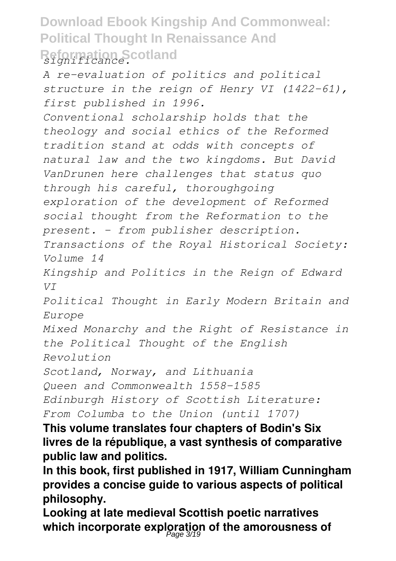## **Download Ebook Kingship And Commonweal: Political Thought In Renaissance And Reformation Scotland** *significance.*

*A re-evaluation of politics and political structure in the reign of Henry VI (1422-61), first published in 1996.*

*Conventional scholarship holds that the theology and social ethics of the Reformed tradition stand at odds with concepts of natural law and the two kingdoms. But David VanDrunen here challenges that status quo through his careful, thoroughgoing exploration of the development of Reformed social thought from the Reformation to the present. - from publisher description.*

*Transactions of the Royal Historical Society: Volume 14*

*Kingship and Politics in the Reign of Edward VI*

*Political Thought in Early Modern Britain and Europe*

*Mixed Monarchy and the Right of Resistance in the Political Thought of the English Revolution*

*Scotland, Norway, and Lithuania*

*Queen and Commonwealth 1558–1585*

*Edinburgh History of Scottish Literature:*

*From Columba to the Union (until 1707)*

**This volume translates four chapters of Bodin's Six livres de la république, a vast synthesis of comparative public law and politics.**

**In this book, first published in 1917, William Cunningham provides a concise guide to various aspects of political philosophy.**

**Looking at late medieval Scottish poetic narratives which incorporate exploration of the amorousness of** Page 3/19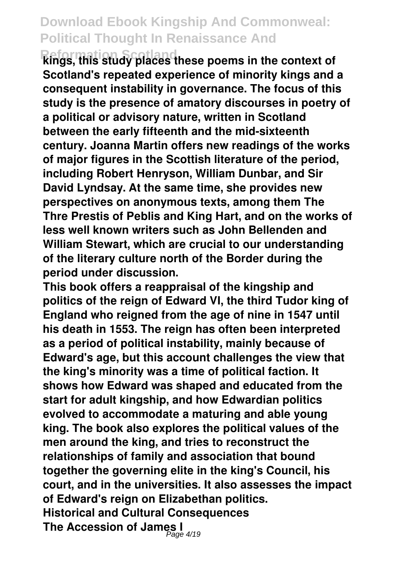**Reformation Scotland kings, this study places these poems in the context of Scotland's repeated experience of minority kings and a consequent instability in governance. The focus of this study is the presence of amatory discourses in poetry of a political or advisory nature, written in Scotland between the early fifteenth and the mid-sixteenth century. Joanna Martin offers new readings of the works of major figures in the Scottish literature of the period, including Robert Henryson, William Dunbar, and Sir David Lyndsay. At the same time, she provides new perspectives on anonymous texts, among them The Thre Prestis of Peblis and King Hart, and on the works of less well known writers such as John Bellenden and William Stewart, which are crucial to our understanding of the literary culture north of the Border during the period under discussion.**

**This book offers a reappraisal of the kingship and politics of the reign of Edward VI, the third Tudor king of England who reigned from the age of nine in 1547 until his death in 1553. The reign has often been interpreted as a period of political instability, mainly because of Edward's age, but this account challenges the view that the king's minority was a time of political faction. It shows how Edward was shaped and educated from the start for adult kingship, and how Edwardian politics evolved to accommodate a maturing and able young king. The book also explores the political values of the men around the king, and tries to reconstruct the relationships of family and association that bound together the governing elite in the king's Council, his court, and in the universities. It also assesses the impact of Edward's reign on Elizabethan politics. Historical and Cultural Consequences The Accession of James I** Page 4/19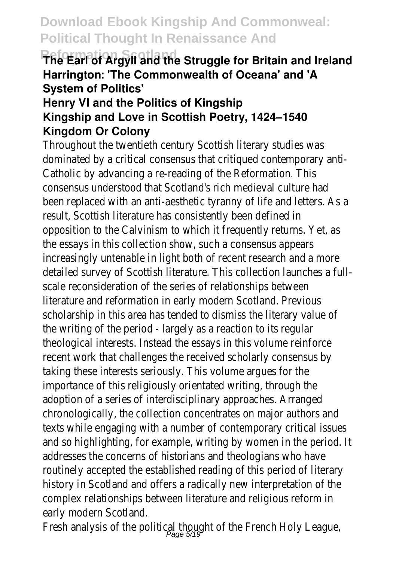#### **Reformation Struggle Struggle for Britain and Ireland Harrington: 'The Commonwealth of Oceana' and 'A System of Politics'**

#### **Henry VI and the Politics of Kingship Kingship and Love in Scottish Poetry, 1424–1540 Kingdom Or Colony**

Throughout the twentieth century Scottish literary studies dominated by a critical consensus that critiqued contempor Catholic by advancing a re-reading of the Reformation. This consensus understood that Scotland's rich medieval culture been replaced with an anti-aesthetic tyranny of life and let result, Scottish literature has consistently been defined in opposition to the Calvinism to which it frequently returns. the essays in this collection show, such a consensus appear increasingly untenable in light both of recent research and detailed survey of Scottish literature. This collection launch scale reconsideration of the series of relationships betweer literature and reformation in early modern Scotland. Previou scholarship in this area has tended to dismiss the literary v the writing of the period - largely as a reaction to its regul theological interests. Instead the essays in this volume rein recent work that challenges the received scholarly consens taking these interests seriously. This volume argues for the importance of this religiously orientated writing, through th adoption of a series of interdisciplinary approaches. Arrange chronologically, the collection concentrates on major author texts while engaging with a number of contemporary critic and so highlighting, for example, writing by women in the p addresses the concerns of historians and theologians who routinely accepted the established reading of this period of history in Scotland and offers a radically new interpretation complex relationships between literature and religious refor early modern Scotland.

Fresh analysis of the political thought of the French Holy Le $_{\text{Page 5/19}}$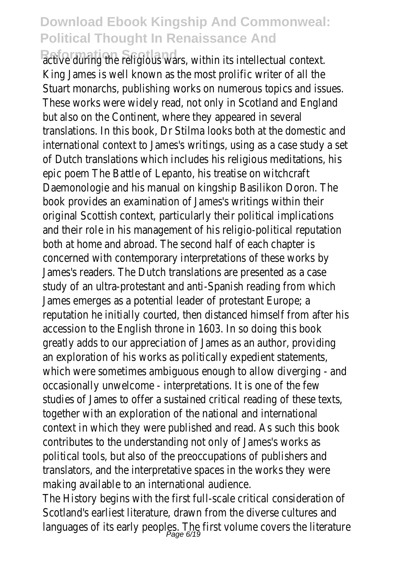Reformation She religious wars, within its intellectual context. King James is well known as the most prolific writer of all Stuart monarchs, publishing works on numerous topics and These works were widely read, not only in Scotland and England but also on the Continent, where they appeared in several translations. In this book, Dr Stilma looks both at the dome international context to James's writings, using as a case study and of Dutch translations which includes his religious meditations epic poem The Battle of Lepanto, his treatise on witchcraft Daemonologie and his manual on kingship Basilikon Doron. T book provides an examination of James's writings within th original Scottish context, particularly their political implications and their role in his management of his religio-political reputation both at home and abroad. The second half of each chapter concerned with contemporary interpretations of these work James's readers. The Dutch translations are presented as a study of an ultra-protestant and anti-Spanish reading from James emerges as a potential leader of protestant Europe; reputation he initially courted, then distanced himself from accession to the English throne in 1603. In so doing this book greatly adds to our appreciation of James as an author, providing an exploration of his works as politically expedient statement which were sometimes ambiguous enough to allow diverging occasionally unwelcome - interpretations. It is one of the  $f$ studies of James to offer a sustained critical reading of the together with an exploration of the national and internation context in which they were published and read. As such thi contributes to the understanding not only of James's works political tools, but also of the preoccupations of publishers translators, and the interpretative spaces in the works the making available to an international audience.

The History begins with the first full-scale critical consideration Scotland's earliest literature, drawn from the diverse cultur languages of its early peoples. The first volume covers the literature  $\rho_{\text{age 6/19}}$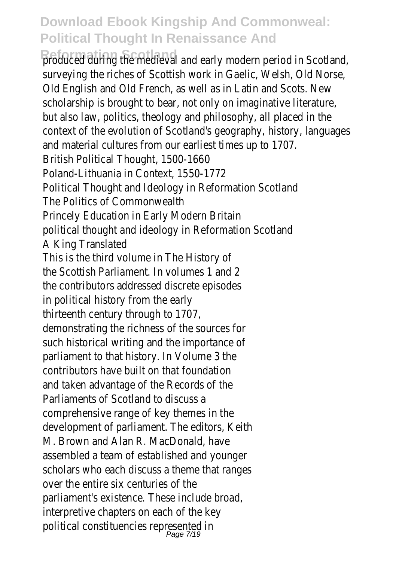**Reformation Scotland** and early modern period in Scotland surveying the riches of Scottish work in Gaelic, Welsh, Old Old English and Old French, as well as in Latin and Scots. New scholarship is brought to bear, not only on imaginative liter but also law, politics, theology and philosophy, all placed in context of the evolution of Scotland's geography, history, la and material cultures from our earliest times up to 1707. British Political Thought, 1500-1660 Poland-Lithuania in Context, 1550-1772 Political Thought and Ideology in Reformation Scotland The Politics of Commonwealth Princely Education in Early Modern Britain political thought and ideology in Reformation Scotland A King Translated This is the third volume in The History of the Scottish Parliament. In volumes 1 and 2 the contributors addressed discrete episodes in political history from the early thirteenth century through to 1707, demonstrating the richness of the sources for such historical writing and the importance of parliament to that history. In Volume 3 the contributors have built on that foundation and taken advantage of the Records of the Parliaments of Scotland to discuss a comprehensive range of key themes in the development of parliament. The editors, Keith M. Brown and Alan R. MacDonald, have assembled a team of established and younger scholars who each discuss a theme that ranges over the entire six centuries of the parliament's existence. These include broad, interpretive chapters on each of the key political constituencies represented in<br>Page 7/19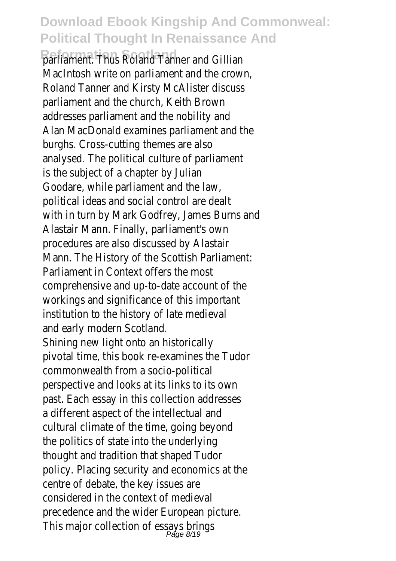**Rafliament. Thus Roland Tanner and Gillian** MacIntosh write on parliament and the crown, Roland Tanner and Kirsty McAlister discuss parliament and the church, Keith Brown addresses parliament and the nobility and Alan MacDonald examines parliament and the burghs. Cross-cutting themes are also analysed. The political culture of parliament is the subject of a chapter by Julian Goodare, while parliament and the law, political ideas and social control are dealt with in turn by Mark Godfrey, James Burns and Alastair Mann. Finally, parliament's own procedures are also discussed by Alastair Mann. The History of the Scottish Parliament: Parliament in Context offers the most comprehensive and up-to-date account of the workings and significance of this important institution to the history of late medieval and early modern Scotland. Shining new light onto an historically pivotal time, this book re-examines the Tudor commonwealth from a socio-political perspective and looks at its links to its own past. Each essay in this collection addresses a different aspect of the intellectual and cultural climate of the time, going beyond the politics of state into the underlying thought and tradition that shaped Tudor policy. Placing security and economics at the centre of debate, the key issues are considered in the context of medieval precedence and the wider European picture.

This major collection of essays brings<br>Page 8/19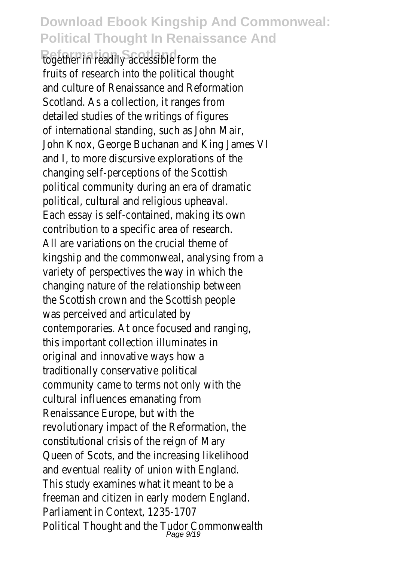**Referent in readily accessible form the** fruits of research into the political thought and culture of Renaissance and Reformation Scotland. As a collection, it ranges from detailed studies of the writings of figures of international standing, such as John Mair, John Knox, George Buchanan and King James VI and I, to more discursive explorations of the changing self-perceptions of the Scottish political community during an era of dramatic political, cultural and religious upheaval. Each essay is self-contained, making its own contribution to a specific area of research. All are variations on the crucial theme of kingship and the commonweal, analysing from a variety of perspectives the way in which the changing nature of the relationship between the Scottish crown and the Scottish people was perceived and articulated by contemporaries. At once focused and ranging, this important collection illuminates in original and innovative ways how a traditionally conservative political community came to terms not only with the cultural influences emanating from Renaissance Europe, but with the revolutionary impact of the Reformation, the constitutional crisis of the reign of Mary Queen of Scots, and the increasing likelihood and eventual reality of union with England. This study examines what it meant to be a freeman and citizen in early modern England. Parliament in Context, 1235-1707 Political Thought and the Tudor Commonwealth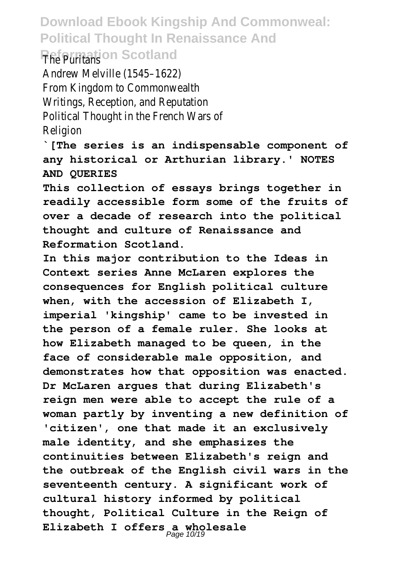#### **Download Ebook Kingship And Commonweal: Political Thought In Renaissance And Reformation Scotland**

Andrew Melville (1545–1622) From Kingdom to Commonwealth Writings, Reception, and Reputation Political Thought in the French Wars of Religion

**`[The series is an indispensable component of any historical or Arthurian library.' NOTES AND QUERIES**

**This collection of essays brings together in readily accessible form some of the fruits of over a decade of research into the political thought and culture of Renaissance and Reformation Scotland.**

**In this major contribution to the Ideas in Context series Anne McLaren explores the consequences for English political culture when, with the accession of Elizabeth I, imperial 'kingship' came to be invested in the person of a female ruler. She looks at how Elizabeth managed to be queen, in the face of considerable male opposition, and demonstrates how that opposition was enacted. Dr McLaren argues that during Elizabeth's reign men were able to accept the rule of a woman partly by inventing a new definition of 'citizen', one that made it an exclusively male identity, and she emphasizes the continuities between Elizabeth's reign and the outbreak of the English civil wars in the seventeenth century. A significant work of cultural history informed by political thought, Political Culture in the Reign of Elizabeth I offers a wholesale** Page 10/19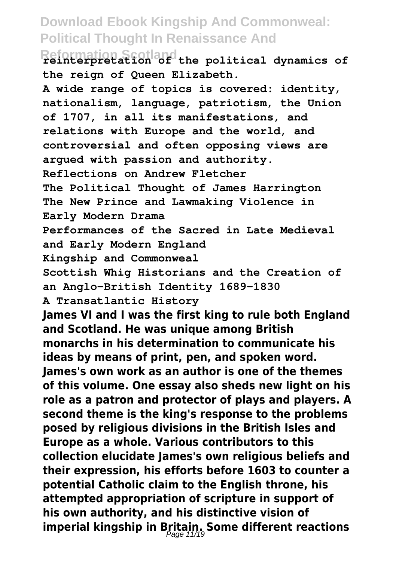**Reformation Scotland reinterpretation of the political dynamics of the reign of Queen Elizabeth.**

**A wide range of topics is covered: identity,**

**nationalism, language, patriotism, the Union of 1707, in all its manifestations, and relations with Europe and the world, and controversial and often opposing views are argued with passion and authority. Reflections on Andrew Fletcher The Political Thought of James Harrington The New Prince and Lawmaking Violence in Early Modern Drama Performances of the Sacred in Late Medieval and Early Modern England Kingship and Commonweal Scottish Whig Historians and the Creation of an Anglo-British Identity 1689-1830 A Transatlantic History James VI and I was the first king to rule both England and Scotland. He was unique among British monarchs in his determination to communicate his ideas by means of print, pen, and spoken word. James's own work as an author is one of the themes of this volume. One essay also sheds new light on his role as a patron and protector of plays and players. A second theme is the king's response to the problems posed by religious divisions in the British Isles and Europe as a whole. Various contributors to this collection elucidate James's own religious beliefs and their expression, his efforts before 1603 to counter a potential Catholic claim to the English throne, his attempted appropriation of scripture in support of his own authority, and his distinctive vision of imperial kingship in Britain. Some different reactions** Page 11/19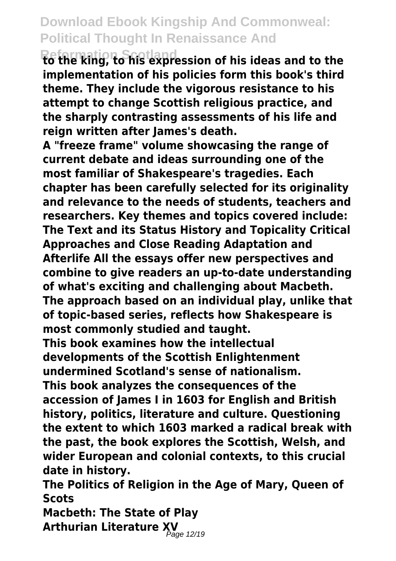**Reformation Scotland to the king, to his expression of his ideas and to the implementation of his policies form this book's third theme. They include the vigorous resistance to his attempt to change Scottish religious practice, and the sharply contrasting assessments of his life and reign written after James's death.**

**A "freeze frame" volume showcasing the range of current debate and ideas surrounding one of the most familiar of Shakespeare's tragedies. Each chapter has been carefully selected for its originality and relevance to the needs of students, teachers and researchers. Key themes and topics covered include: The Text and its Status History and Topicality Critical Approaches and Close Reading Adaptation and Afterlife All the essays offer new perspectives and combine to give readers an up-to-date understanding of what's exciting and challenging about Macbeth. The approach based on an individual play, unlike that of topic-based series, reflects how Shakespeare is most commonly studied and taught.**

**This book examines how the intellectual developments of the Scottish Enlightenment undermined Scotland's sense of nationalism. This book analyzes the consequences of the accession of James I in 1603 for English and British history, politics, literature and culture. Questioning the extent to which 1603 marked a radical break with the past, the book explores the Scottish, Welsh, and wider European and colonial contexts, to this crucial date in history.**

**The Politics of Religion in the Age of Mary, Queen of Scots**

**Macbeth: The State of Play Arthurian Literature XV** Page 12/19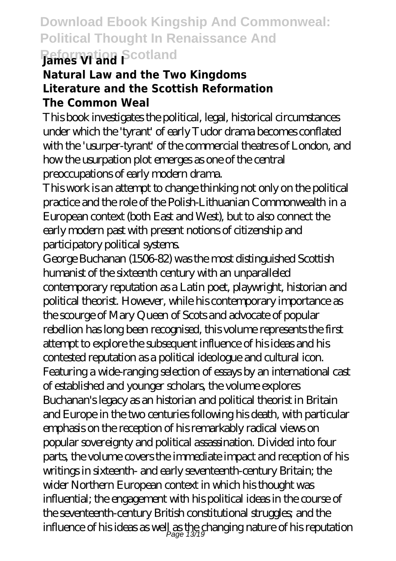## **Download Ebook Kingship And Commonweal: Political Thought In Renaissance And Reformation Scotland James VI and I**

#### **Natural Law and the Two Kingdoms Literature and the Scottish Reformation The Common Weal**

This book investigates the political, legal, historical circumstances under which the 'tyrant' of early Tudor drama becomes conflated with the 'usurper-tyrant' of the commercial theatres of London, and how the usurpation plot emerges as one of the central preoccupations of early modern drama.

This work is an attempt to change thinking not only on the political practice and the role of the Polish-Lithuanian Commonwealth in a European context (both East and West), but to also connect the early modern past with present notions of citizenship and participatory political systems.

George Buchanan (1506-82) was the most distinguished Scottish humanist of the sixteenth century with an unparalleled contemporary reputation as a Latin poet, playwright, historian and political theorist. However, while his contemporary importance as the scourge of Mary Queen of Scots and advocate of popular rebellion has long been recognised, this volume represents the first attempt to explore the subsequent influence of his ideas and his contested reputation as a political ideologue and cultural icon. Featuring a wide-ranging selection of essays by an international cast of established and younger scholars, the volume explores Buchanan's legacy as an historian and political theorist in Britain and Europe in the two centuries following his death, with particular emphasis on the reception of his remarkably radical views on popular sovereignty and political assassination. Divided into four parts, the volume covers the immediate impact and reception of his writings in sixteenth- and early seventeenth-century Britain; the wider Northern European context in which his thought was influential; the engagement with his political ideas in the course of the seventeenth-century British constitutional struggles; and the influence of his ideas as well as the changing nature of his reputation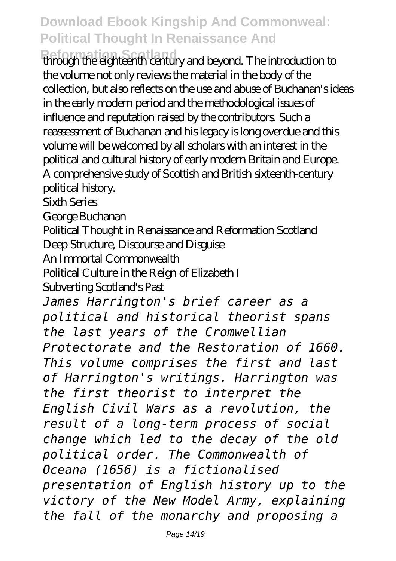**Reformation Scotland** through the eighteenth century and beyond. The introduction to the volume not only reviews the material in the body of the collection, but also reflects on the use and abuse of Buchanan's ideas in the early modern period and the methodological issues of influence and reputation raised by the contributors. Such a reassessment of Buchanan and his legacy is long overdue and this volume will be welcomed by all scholars with an interest in the political and cultural history of early modern Britain and Europe. A comprehensive study of Scottish and British sixteenth-century political history.

Sixth Series

George Buchanan

Political Thought in Renaissance and Reformation Scotland Deep Structure, Discourse and Disguise

An Immortal Commonwealth

Political Culture in the Reign of Elizabeth I

Subverting Scotland's Past

*James Harrington's brief career as a political and historical theorist spans the last years of the Cromwellian Protectorate and the Restoration of 1660. This volume comprises the first and last of Harrington's writings. Harrington was the first theorist to interpret the English Civil Wars as a revolution, the result of a long-term process of social change which led to the decay of the old political order. The Commonwealth of Oceana (1656) is a fictionalised presentation of English history up to the victory of the New Model Army, explaining the fall of the monarchy and proposing a*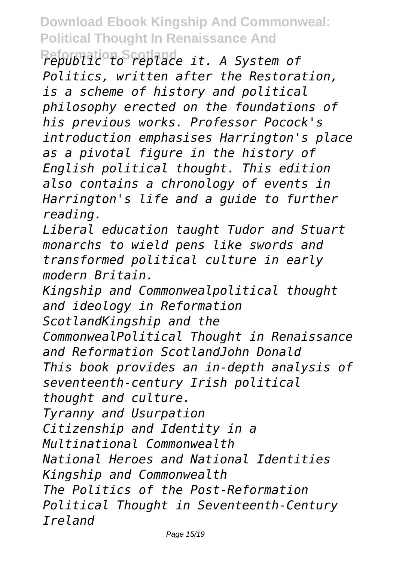**Reformation Scotland** *republic to replace it. A System of Politics, written after the Restoration, is a scheme of history and political philosophy erected on the foundations of his previous works. Professor Pocock's introduction emphasises Harrington's place as a pivotal figure in the history of English political thought. This edition also contains a chronology of events in Harrington's life and a guide to further reading.*

*Liberal education taught Tudor and Stuart monarchs to wield pens like swords and transformed political culture in early modern Britain.*

*Kingship and Commonwealpolitical thought and ideology in Reformation*

*ScotlandKingship and the*

*CommonwealPolitical Thought in Renaissance and Reformation ScotlandJohn Donald*

*This book provides an in-depth analysis of seventeenth-century Irish political*

*thought and culture.*

*Tyranny and Usurpation*

*Citizenship and Identity in a*

*Multinational Commonwealth*

*National Heroes and National Identities Kingship and Commonwealth*

*The Politics of the Post-Reformation Political Thought in Seventeenth-Century Ireland*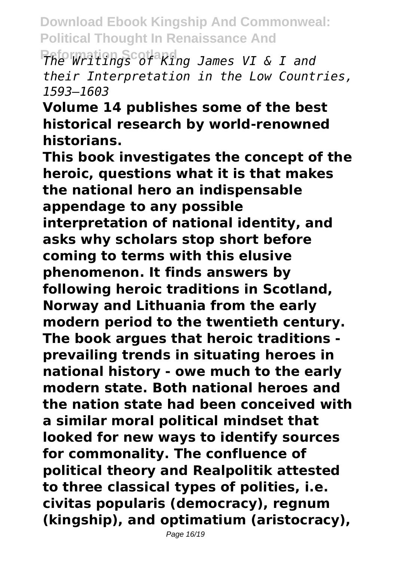**Reformation Scotland** *The Writings of King James VI & I and their Interpretation in the Low Countries, 1593–1603*

**Volume 14 publishes some of the best historical research by world-renowned historians.**

**This book investigates the concept of the heroic, questions what it is that makes the national hero an indispensable appendage to any possible interpretation of national identity, and asks why scholars stop short before coming to terms with this elusive phenomenon. It finds answers by following heroic traditions in Scotland, Norway and Lithuania from the early modern period to the twentieth century. The book argues that heroic traditions prevailing trends in situating heroes in national history - owe much to the early modern state. Both national heroes and the nation state had been conceived with a similar moral political mindset that looked for new ways to identify sources for commonality. The confluence of political theory and Realpolitik attested to three classical types of polities, i.e. civitas popularis (democracy), regnum (kingship), and optimatium (aristocracy),**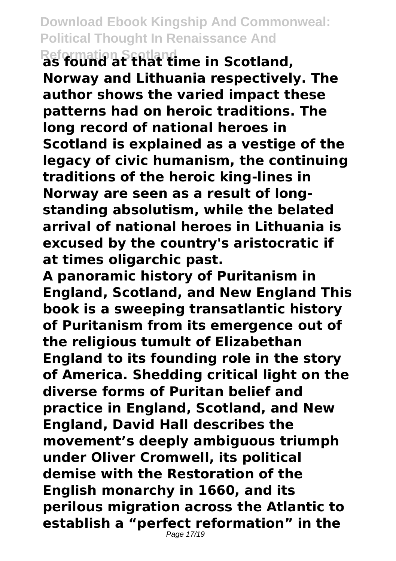**Reformation Scotland as found at that time in Scotland, Norway and Lithuania respectively. The author shows the varied impact these patterns had on heroic traditions. The long record of national heroes in Scotland is explained as a vestige of the legacy of civic humanism, the continuing traditions of the heroic king-lines in Norway are seen as a result of longstanding absolutism, while the belated arrival of national heroes in Lithuania is excused by the country's aristocratic if at times oligarchic past.**

**A panoramic history of Puritanism in England, Scotland, and New England This book is a sweeping transatlantic history of Puritanism from its emergence out of the religious tumult of Elizabethan England to its founding role in the story of America. Shedding critical light on the diverse forms of Puritan belief and practice in England, Scotland, and New England, David Hall describes the movement's deeply ambiguous triumph under Oliver Cromwell, its political demise with the Restoration of the English monarchy in 1660, and its perilous migration across the Atlantic to establish a "perfect reformation" in the**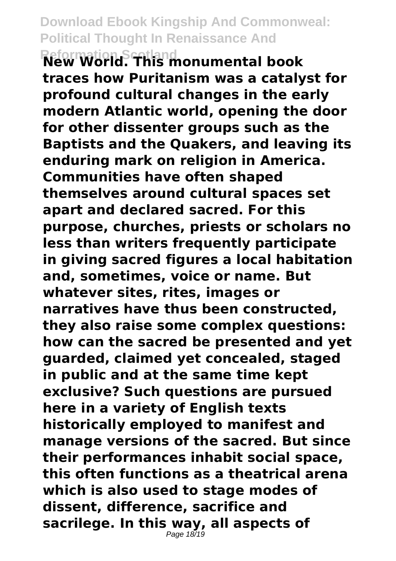**Reformation Scotland New World. This monumental book traces how Puritanism was a catalyst for profound cultural changes in the early modern Atlantic world, opening the door for other dissenter groups such as the Baptists and the Quakers, and leaving its enduring mark on religion in America. Communities have often shaped themselves around cultural spaces set apart and declared sacred. For this purpose, churches, priests or scholars no less than writers frequently participate in giving sacred figures a local habitation and, sometimes, voice or name. But whatever sites, rites, images or narratives have thus been constructed, they also raise some complex questions: how can the sacred be presented and yet guarded, claimed yet concealed, staged in public and at the same time kept exclusive? Such questions are pursued here in a variety of English texts historically employed to manifest and manage versions of the sacred. But since their performances inhabit social space, this often functions as a theatrical arena which is also used to stage modes of dissent, difference, sacrifice and sacrilege. In this way, all aspects of** Page 18/19